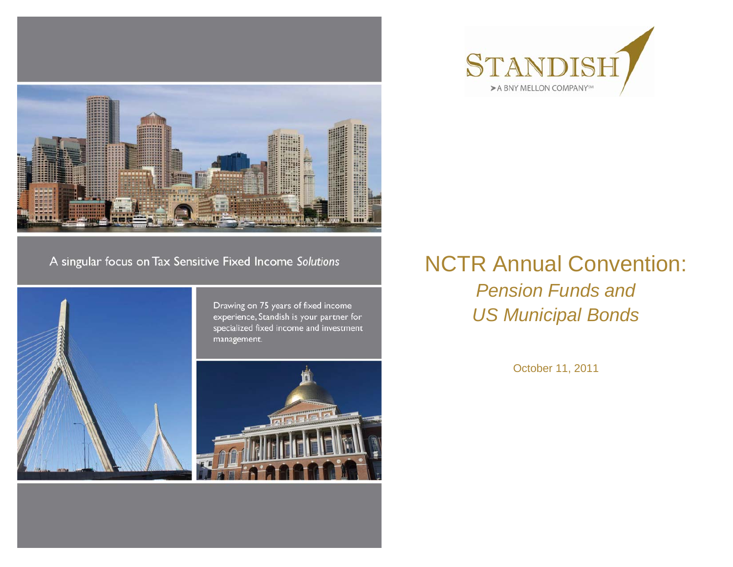



#### A singular focus on Tax Sensitive Fixed Income Solutions



Drawing on 75 years of fixed income experience, Standish is your partner for specialized fixed income and investment management.



#### NCTR Annual Convention: *Pension Funds and US Municipal Bonds*

October 11, 2011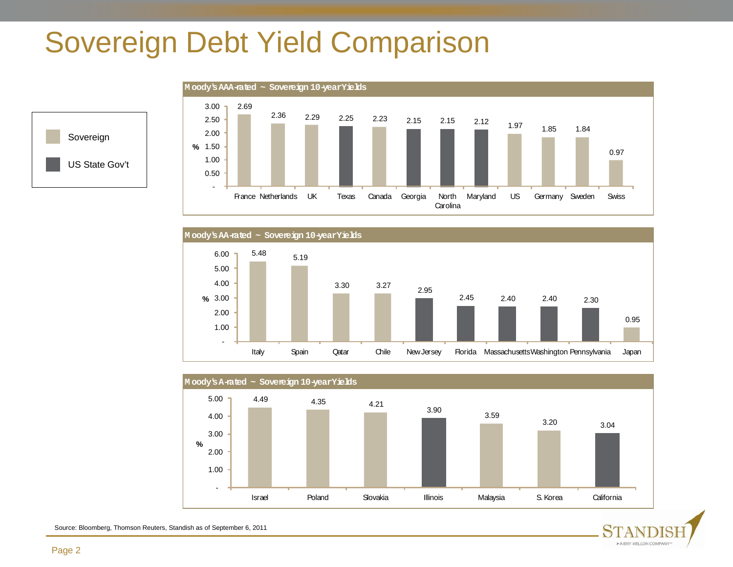### Sovereign Debt Yield Comparison









> A BNY MELLON COMPANY<sup>10</sup>

Source: Bloomberg, Thomson Reuters, Standish as of September 6, 2011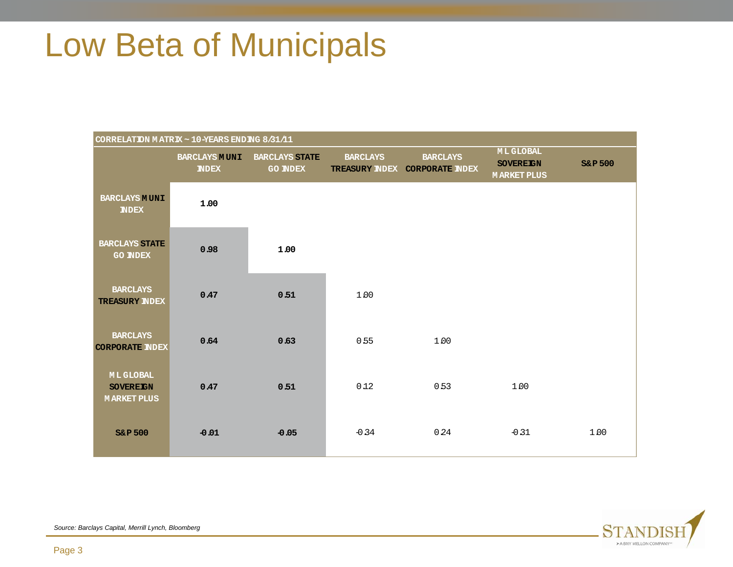## Low Beta of Municipals

| CORRELATION MATRIX ~ 10-YEARS ENDING 8/31/11              |                                     |                                          |                 |                                                   |                                                           |                    |  |  |
|-----------------------------------------------------------|-------------------------------------|------------------------------------------|-----------------|---------------------------------------------------|-----------------------------------------------------------|--------------------|--|--|
|                                                           | <b>BARCLAYS MUNI</b><br><b>NDEX</b> | <b>BARCLAYS STATE</b><br><b>GO INDEX</b> | <b>BARCLAYS</b> | <b>BARCLAYS</b><br>TREASURY INDEX CORPORATE INDEX | <b>MLGLOBAL</b><br><b>SOVEREIGN</b><br><b>MARKET PLUS</b> | <b>S&amp;P 500</b> |  |  |
| <b>BARCLAYS MUNI</b><br><b>NDEX</b>                       | 1.00                                |                                          |                 |                                                   |                                                           |                    |  |  |
| <b>BARCLAYS STATE</b><br><b>GO INDEX</b>                  | 0.98                                | 1.00                                     |                 |                                                   |                                                           |                    |  |  |
| <b>BARCLAYS</b><br><b>TREASURY INDEX</b>                  | 0.47                                | 0.51                                     | 1.00            |                                                   |                                                           |                    |  |  |
| <b>BARCLAYS</b><br><b>CORPORATE INDEX</b>                 | 0.64                                | 0.63                                     | 0.55            | 1.00                                              |                                                           |                    |  |  |
| <b>MLGLOBAL</b><br><b>SOVEREIGN</b><br><b>MARKET PLUS</b> | 0.47                                | 0.51                                     | 012             | 0.53                                              | 1.00                                                      |                    |  |  |
| <b>S&amp;P 500</b>                                        | $-0.01$                             | $-0.05$                                  | $-0.34$         | 0.24                                              | $-0.31$                                                   | 1.00               |  |  |



*Source: Barclays Capital, Merrill Lynch, Bloomberg*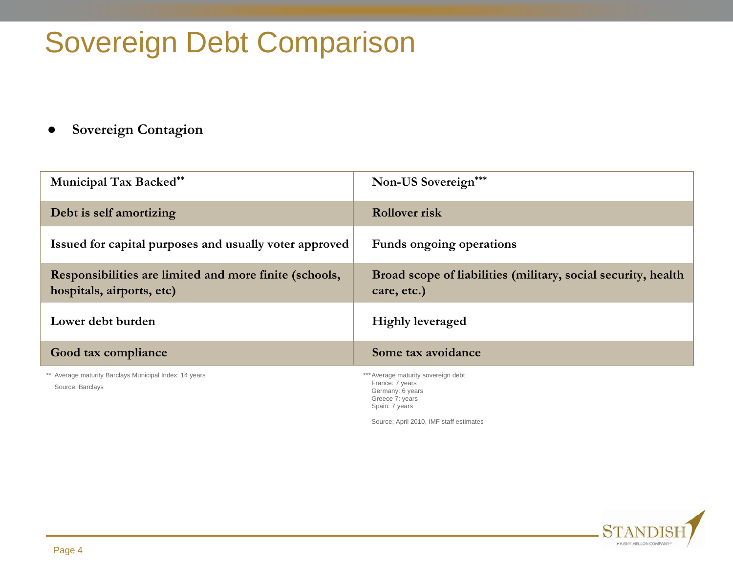## Sovereign Debt Comparison

#### $\bullet$ **Sovereign Contagion**

| <b>Municipal Tax Backed**</b>                                                       | Non-US Sovereign***                                                                                             |
|-------------------------------------------------------------------------------------|-----------------------------------------------------------------------------------------------------------------|
| Debt is self amortizing                                                             | <b>Rollover risk</b>                                                                                            |
| Issued for capital purposes and usually voter approved                              | Funds ongoing operations                                                                                        |
| Responsibilities are limited and more finite (schools,<br>hospitals, airports, etc) | Broad scope of liabilities (military, social security, health<br>care, etc.)                                    |
| Lower debt burden                                                                   | <b>Highly leveraged</b>                                                                                         |
| Good tax compliance                                                                 | Some tax avoidance                                                                                              |
| ** Average maturity Barclays Municipal Index: 14 years<br>Source: Barclays          | *** Average maturity sovereign debt<br>France: 7 years<br>Germany: 6 years<br>Greece 7: years<br>Spain: 7 years |

Source; April 2010, IMF staff estimates

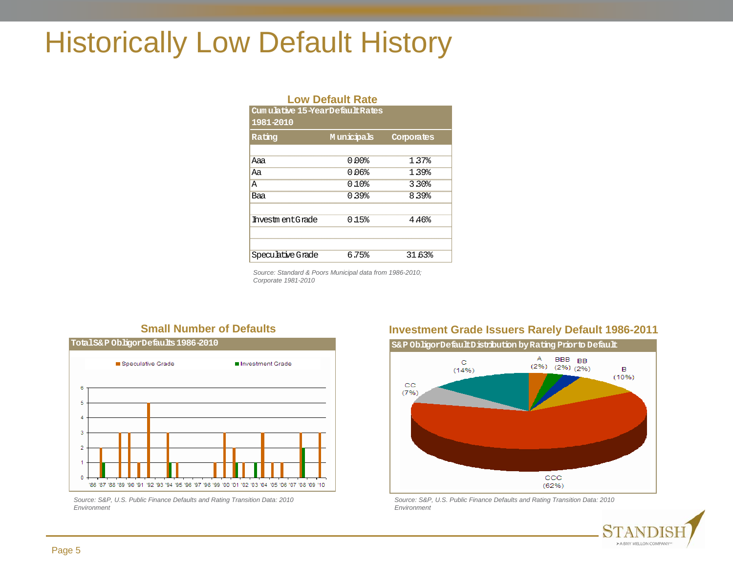#### Historically Low Default History

| <b>Low Default Rate</b>        |                   |            |  |  |  |  |  |
|--------------------------------|-------------------|------------|--|--|--|--|--|
| Cumulative 15-YearDefaultRates |                   |            |  |  |  |  |  |
| 1981-2010                      |                   |            |  |  |  |  |  |
| Rating                         | <b>Municipals</b> | Corporates |  |  |  |  |  |
|                                |                   |            |  |  |  |  |  |
| Aaa                            | 800 0             | 1.37%      |  |  |  |  |  |
| Аa                             | 0 በ6%             | 139%       |  |  |  |  |  |
| Α                              | $0.10$ .          | 3.30%      |  |  |  |  |  |
| Baa                            | 0 39%             | 8.39%      |  |  |  |  |  |
|                                |                   |            |  |  |  |  |  |
| Investment.Grade               | 015%              | 4.46%      |  |  |  |  |  |
|                                |                   |            |  |  |  |  |  |
|                                |                   |            |  |  |  |  |  |
| Speculative Grade              | 6.75%             | 31.63%     |  |  |  |  |  |

*Source: Standard & Poors Municipal data from 1986-2010; Corporate 1981-2010*

#### **Small Number of Defaults**



*Source: S&P, U.S. Public Finance Defaults and Rating Transition Data: 2010 Environment* 

#### **Investment Grade Issuers Rarely Default 1986-2011**



*Source: S&P, U.S. Public Finance Defaults and Rating Transition Data: 2010 Environment* 

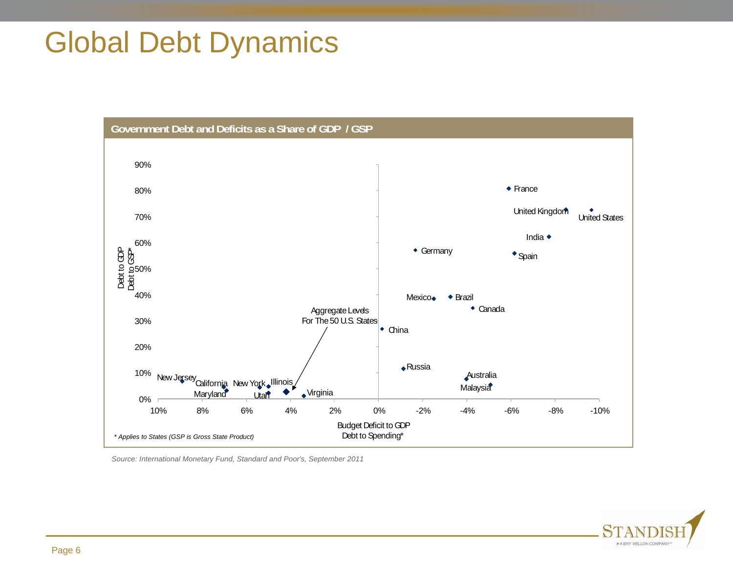### Global Debt Dynamics



*Source: International Monetary Fund, Standard and Poor's, September 2011*

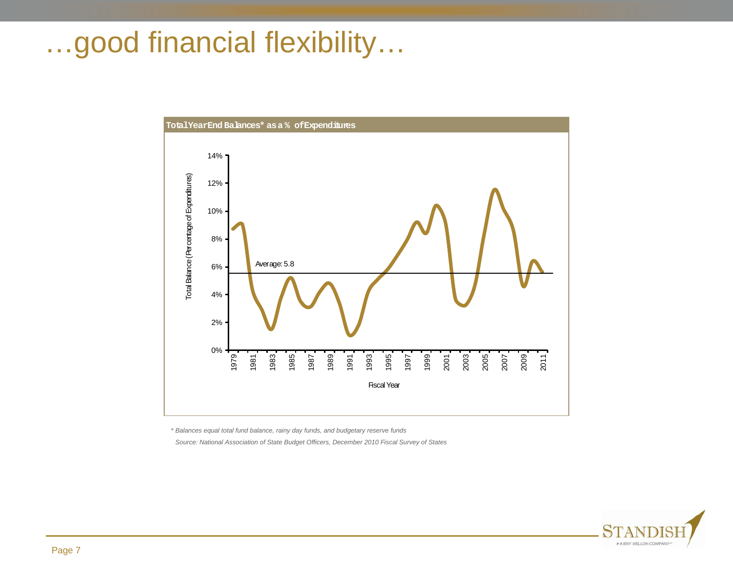#### …good financial flexibility…



*\* Balances equal total fund balance, rainy day funds, and budgetary reserve funds* 

*Source: National Association of State Budget Officers, December 2010 Fiscal Survey of States*

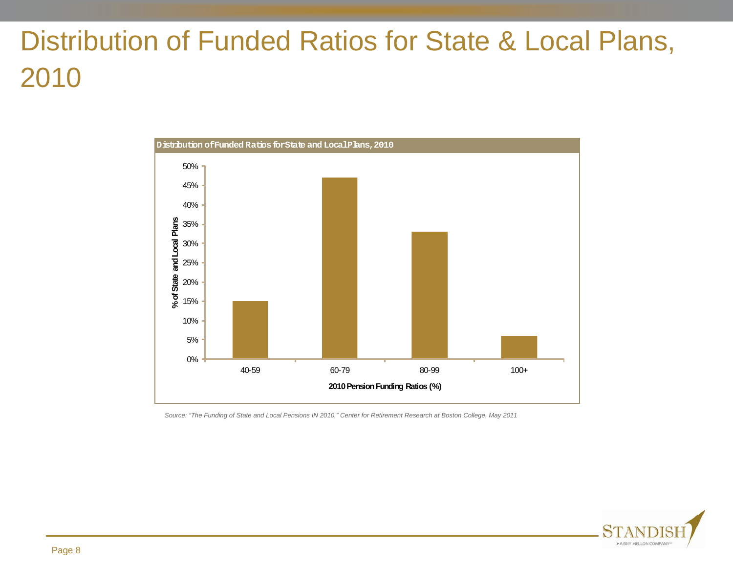## Distribution of Funded Ratios for State & Local Plans, 2010



*Source: "The Funding of State and Local Pensions IN 2010," Center for Retirement Research at Boston College, May 2011*

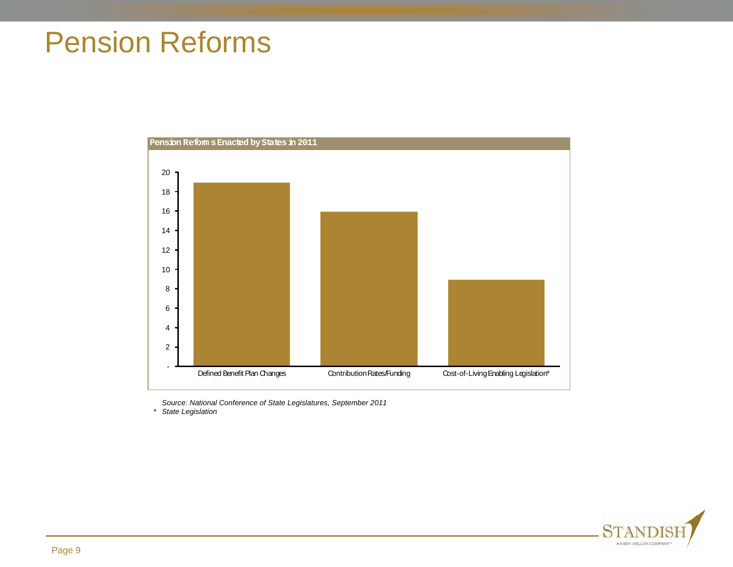#### Pension Reforms



*Source: National Conference of State Legislatures, September 2011*

*\* State Legislation* 

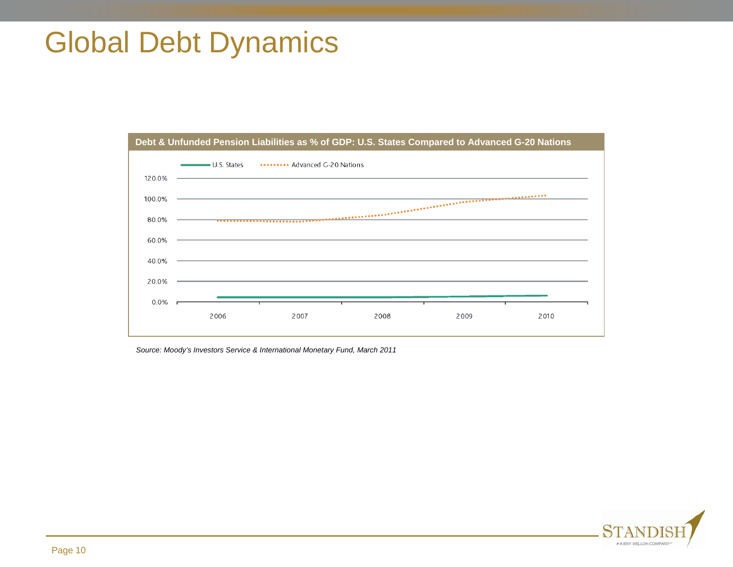### Global Debt Dynamics



*Source: Moody's Investors Service & International Monetary Fund, March 2011*

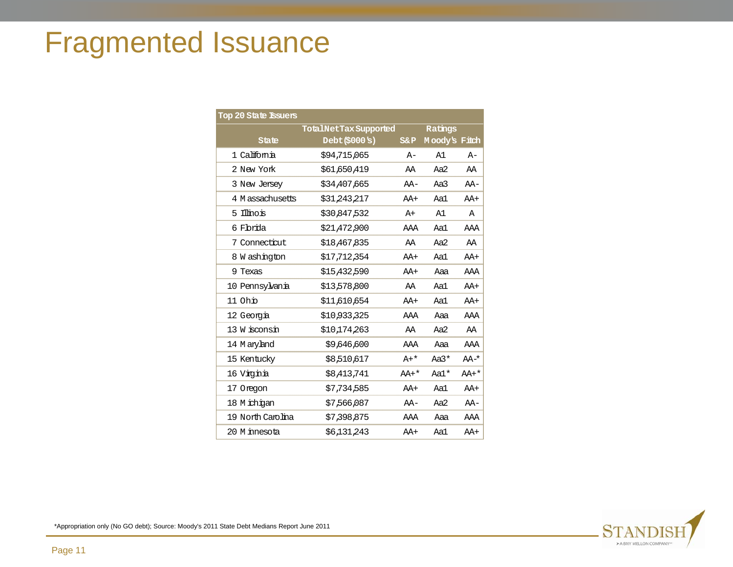## Fragmented Issuance

| Top 20 State Issuers |                      |         |               |             |
|----------------------|----------------------|---------|---------------|-------------|
|                      | TotalNetTaxSupported | Ratings |               |             |
| State                | Debt(S000S)          | $S\&P$  | Moody's Fitch |             |
| 1 California         | \$94,715,065         | $A-$    | A1            | $A-$        |
| 2 New York           | \$61,650,419         | AA      | Aa2           | AA          |
| 3 New Jersey         | \$34,407,665         | $AA-$   | Aa3           | $AA-$       |
| 4 M assachusetts     | \$31 243 217         | $AA+$   | Aal           | $AA+$       |
| 5 Illinois           | \$30 847 532         | $A+$    | A1            | $\mathbb A$ |
| 6 Fbrida             | \$21,472,900         | AAA     | Aa1           | AAA         |
| 7 Connecticut        | \$18,467,835         | AA      | Aa2           | AA          |
| 8 W ashington        | \$17,712,354         | AA+     | Aa1           | AA+         |
| 9 Texas              | \$15 432 590         | $AA+$   | Aaa           | AAA         |
| 10 Pennsylvania      | \$13578800           | AA      | Aa1           | AA+         |
| 11 Ohb               | \$11 610 654         | $AA+$   | Aa1           | $AA+$       |
| 12 Georgia           | \$10 933 325         | AAA     | Aaa           | AAA         |
| 13 W isconsin        | \$10 174 263         | AA      | Aa2           | AA          |
| 14 M aryland         | \$9,646,600          | AAA     | Aaa           | AAA         |
| 15 Kentucky          | \$8,510,617          | $A+*$   | $Aa3*$        | $AA^{-*}$   |
| 16 Vigna             | \$8,413,741          | $AA+*$  | Aa1*          | $AA+*$      |
| 17 Oregon            | \$7,734,585          | $AA+$   | Aa1           | AA+         |
| 18 M ichigan         | \$7566087            | $AA-$   | Aa2           | $AA-$       |
| 19 North Carolina    | \$7 398 875          | AAA     | Aaa           | AAA         |
| 20 M innesota        | \$6 131 243          | $AA+$   | Aal           | AA+         |

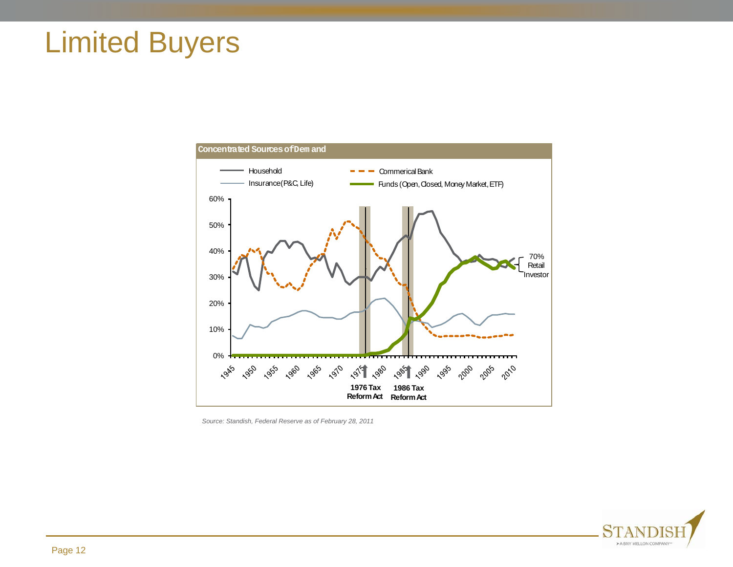#### Limited Buyers



*Source: Standish, Federal Reserve as of February 28, 2011*

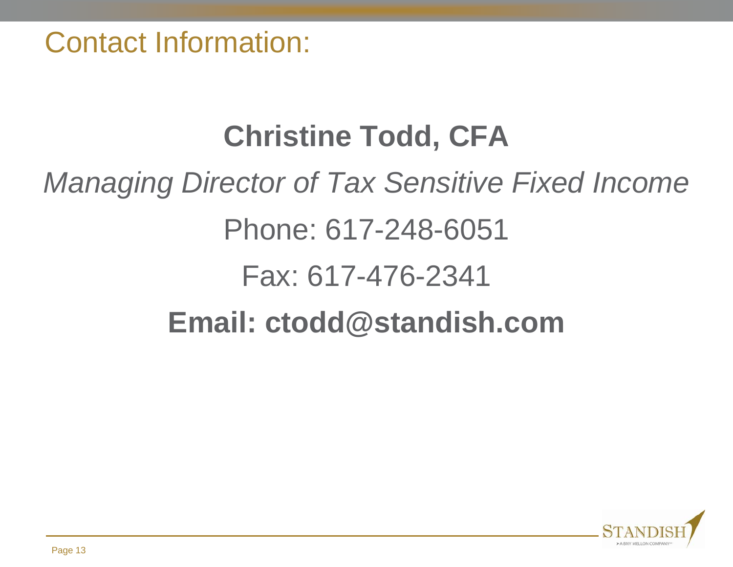Contact Information:

# **Christine Todd, CFA** *Managing Director of Tax Sensitive Fixed Income*  Phone: 617-248-6051 Fax: 617-476-2341 **Email: ctodd@standish.com**